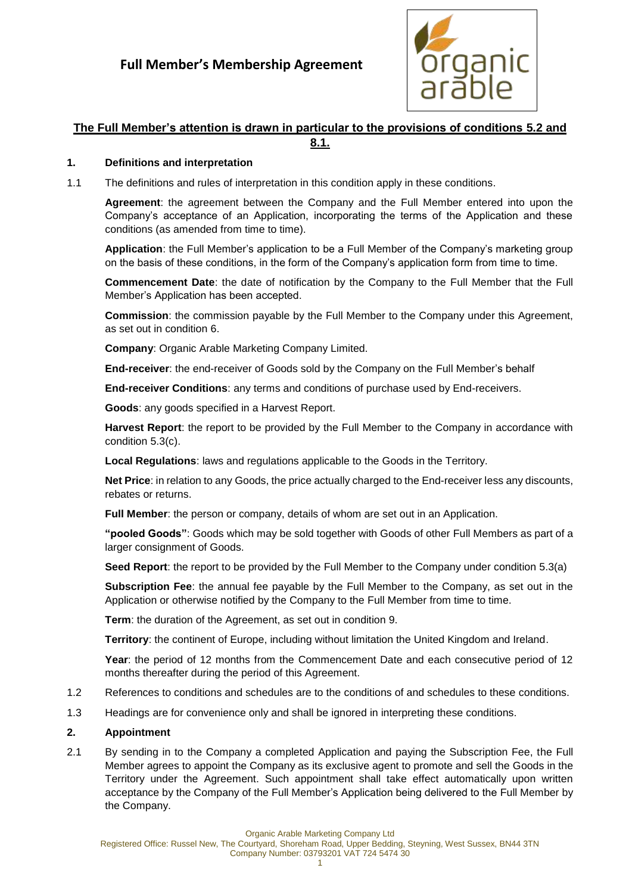

# **The Full Member's attention is drawn in particular to the provisions of conditions [5.2](#page-2-0) and**

**[8.1.](#page-4-0)**

### **1. Definitions and interpretation**

1.1 The definitions and rules of interpretation in this condition apply in these conditions.

**Agreement**: the agreement between the Company and the Full Member entered into upon the Company's acceptance of an Application, incorporating the terms of the Application and these conditions (as amended from time to time).

**Application**: the Full Member's application to be a Full Member of the Company's marketing group on the basis of these conditions, in the form of the Company's application form from time to time.

**Commencement Date**: the date of notification by the Company to the Full Member that the Full Member's Application has been accepted.

**Commission**: the commission payable by the Full Member to the Company under this Agreement, as set out in condition [6.](#page-3-0)

**Company**: Organic Arable Marketing Company Limited.

**End-receiver**: the end-receiver of Goods sold by the Company on the Full Member's behalf

**End-receiver Conditions**: any terms and conditions of purchase used by End-receivers.

**Goods**: any goods specified in a Harvest Report.

**Harvest Report**: the report to be provided by the Full Member to the Company in accordance with condition [5.3\(c\).](#page-3-1)

**Local Regulations**: laws and regulations applicable to the Goods in the Territory.

**Net Price**: in relation to any Goods, the price actually charged to the End-receiver less any discounts, rebates or returns.

**Full Member**: the person or company, details of whom are set out in an Application.

**"pooled Goods"**: Goods which may be sold together with Goods of other Full Members as part of a larger consignment of Goods.

**Seed Report**: the report to be provided by the Full Member to the Company under condition [5.3\(a\)](#page-2-1)

**Subscription Fee**: the annual fee payable by the Full Member to the Company, as set out in the Application or otherwise notified by the Company to the Full Member from time to time.

**Term**: the duration of the Agreement, as set out in condition [9.](#page-5-0)

**Territory**: the continent of Europe, including without limitation the United Kingdom and Ireland.

**Year**: the period of 12 months from the Commencement Date and each consecutive period of 12 months thereafter during the period of this Agreement.

- 1.2 References to conditions and schedules are to the conditions of and schedules to these conditions.
- 1.3 Headings are for convenience only and shall be ignored in interpreting these conditions.

#### **2. Appointment**

2.1 By sending in to the Company a completed Application and paying the Subscription Fee, the Full Member agrees to appoint the Company as its exclusive agent to promote and sell the Goods in the Territory under the Agreement. Such appointment shall take effect automatically upon written acceptance by the Company of the Full Member's Application being delivered to the Full Member by the Company.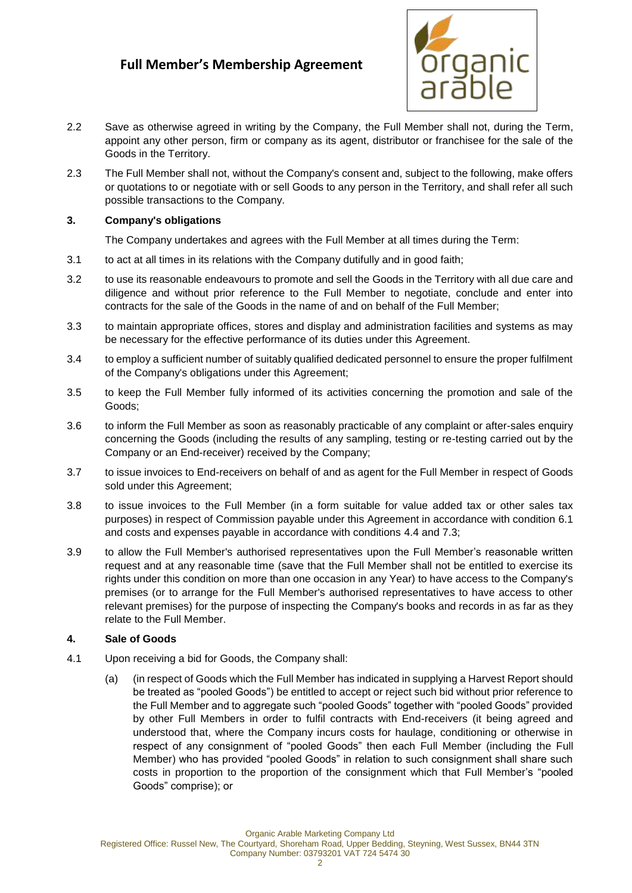

- 2.2 Save as otherwise agreed in writing by the Company, the Full Member shall not, during the Term, appoint any other person, firm or company as its agent, distributor or franchisee for the sale of the Goods in the Territory.
- 2.3 The Full Member shall not, without the Company's consent and, subject to the following, make offers or quotations to or negotiate with or sell Goods to any person in the Territory, and shall refer all such possible transactions to the Company.

### **3. Company's obligations**

The Company undertakes and agrees with the Full Member at all times during the Term:

- 3.1 to act at all times in its relations with the Company dutifully and in good faith;
- 3.2 to use its reasonable endeavours to promote and sell the Goods in the Territory with all due care and diligence and without prior reference to the Full Member to negotiate, conclude and enter into contracts for the sale of the Goods in the name of and on behalf of the Full Member;
- 3.3 to maintain appropriate offices, stores and display and administration facilities and systems as may be necessary for the effective performance of its duties under this Agreement.
- 3.4 to employ a sufficient number of suitably qualified dedicated personnel to ensure the proper fulfilment of the Company's obligations under this Agreement;
- 3.5 to keep the Full Member fully informed of its activities concerning the promotion and sale of the Goods;
- 3.6 to inform the Full Member as soon as reasonably practicable of any complaint or after-sales enquiry concerning the Goods (including the results of any sampling, testing or re-testing carried out by the Company or an End-receiver) received by the Company;
- 3.7 to issue invoices to End-receivers on behalf of and as agent for the Full Member in respect of Goods sold under this Agreement;
- 3.8 to issue invoices to the Full Member (in a form suitable for value added tax or other sales tax purposes) in respect of Commission payable under this Agreement in accordance with condition [6.1](#page-3-2) and costs and expenses payable in accordance with conditions [4.4](#page-2-2) and [7.3;](#page-4-1)
- 3.9 to allow the Full Member's authorised representatives upon the Full Member's reasonable written request and at any reasonable time (save that the Full Member shall not be entitled to exercise its rights under this condition on more than one occasion in any Year) to have access to the Company's premises (or to arrange for the Full Member's authorised representatives to have access to other relevant premises) for the purpose of inspecting the Company's books and records in as far as they relate to the Full Member.

#### **4. Sale of Goods**

- <span id="page-1-0"></span>4.1 Upon receiving a bid for Goods, the Company shall:
	- (a) (in respect of Goods which the Full Member has indicated in supplying a Harvest Report should be treated as "pooled Goods") be entitled to accept or reject such bid without prior reference to the Full Member and to aggregate such "pooled Goods" together with "pooled Goods" provided by other Full Members in order to fulfil contracts with End-receivers (it being agreed and understood that, where the Company incurs costs for haulage, conditioning or otherwise in respect of any consignment of "pooled Goods" then each Full Member (including the Full Member) who has provided "pooled Goods" in relation to such consignment shall share such costs in proportion to the proportion of the consignment which that Full Member's "pooled Goods" comprise); or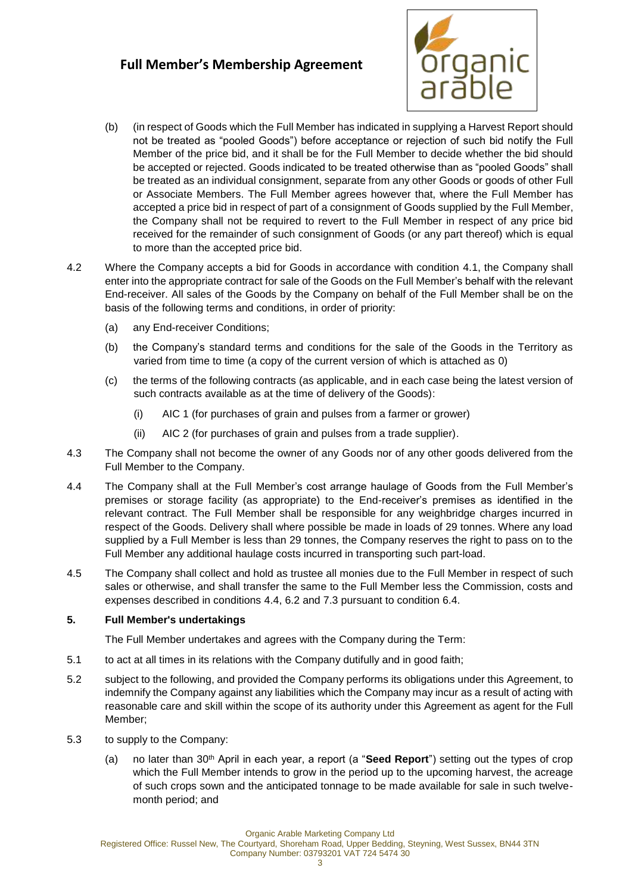

- (b) (in respect of Goods which the Full Member has indicated in supplying a Harvest Report should not be treated as "pooled Goods") before acceptance or rejection of such bid notify the Full Member of the price bid, and it shall be for the Full Member to decide whether the bid should be accepted or rejected. Goods indicated to be treated otherwise than as "pooled Goods" shall be treated as an individual consignment, separate from any other Goods or goods of other Full or Associate Members. The Full Member agrees however that, where the Full Member has accepted a price bid in respect of part of a consignment of Goods supplied by the Full Member, the Company shall not be required to revert to the Full Member in respect of any price bid received for the remainder of such consignment of Goods (or any part thereof) which is equal to more than the accepted price bid.
- 4.2 Where the Company accepts a bid for Goods in accordance with condition [4.1,](#page-1-0) the Company shall enter into the appropriate contract for sale of the Goods on the Full Member's behalf with the relevant End-receiver. All sales of the Goods by the Company on behalf of the Full Member shall be on the basis of the following terms and conditions, in order of priority:
	- (a) any End-receiver Conditions;
	- (b) the Company's standard terms and conditions for the sale of the Goods in the Territory as varied from time to time (a copy of the current version of which is attached as [0\)](#page-7-0)
	- (c) the terms of the following contracts (as applicable, and in each case being the latest version of such contracts available as at the time of delivery of the Goods):
		- (i) AIC 1 (for purchases of grain and pulses from a farmer or grower)
		- (ii) AIC 2 (for purchases of grain and pulses from a trade supplier).
- 4.3 The Company shall not become the owner of any Goods nor of any other goods delivered from the Full Member to the Company.
- <span id="page-2-2"></span>4.4 The Company shall at the Full Member's cost arrange haulage of Goods from the Full Member's premises or storage facility (as appropriate) to the End-receiver's premises as identified in the relevant contract. The Full Member shall be responsible for any weighbridge charges incurred in respect of the Goods. Delivery shall where possible be made in loads of 29 tonnes. Where any load supplied by a Full Member is less than 29 tonnes, the Company reserves the right to pass on to the Full Member any additional haulage costs incurred in transporting such part-load.
- 4.5 The Company shall collect and hold as trustee all monies due to the Full Member in respect of such sales or otherwise, and shall transfer the same to the Full Member less the Commission, costs and expenses described in conditions [4.4,](#page-2-2) [6.2](#page-3-3) and [7.3](#page-4-1) pursuant to condition [6.4.](#page-3-4)

#### **5. Full Member's undertakings**

The Full Member undertakes and agrees with the Company during the Term:

- 5.1 to act at all times in its relations with the Company dutifully and in good faith;
- <span id="page-2-0"></span>5.2 subject to the following, and provided the Company performs its obligations under this Agreement, to indemnify the Company against any liabilities which the Company may incur as a result of acting with reasonable care and skill within the scope of its authority under this Agreement as agent for the Full Member;
- <span id="page-2-1"></span>5.3 to supply to the Company:
	- (a) no later than 30th April in each year, a report (a "**Seed Report**") setting out the types of crop which the Full Member intends to grow in the period up to the upcoming harvest, the acreage of such crops sown and the anticipated tonnage to be made available for sale in such twelvemonth period; and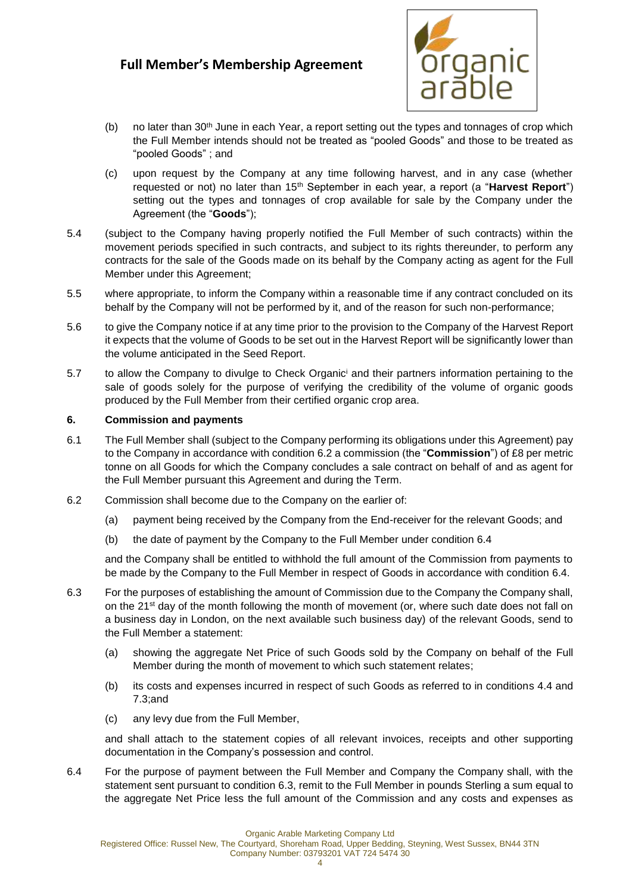

- (b) no later than  $30<sup>th</sup>$  June in each Year, a report setting out the types and tonnages of crop which the Full Member intends should not be treated as "pooled Goods" and those to be treated as "pooled Goods" ; and
- <span id="page-3-1"></span>(c) upon request by the Company at any time following harvest, and in any case (whether requested or not) no later than 15th September in each year, a report (a "**Harvest Report**") setting out the types and tonnages of crop available for sale by the Company under the Agreement (the "**Goods**");
- 5.4 (subject to the Company having properly notified the Full Member of such contracts) within the movement periods specified in such contracts, and subject to its rights thereunder, to perform any contracts for the sale of the Goods made on its behalf by the Company acting as agent for the Full Member under this Agreement;
- 5.5 where appropriate, to inform the Company within a reasonable time if any contract concluded on its behalf by the Company will not be performed by it, and of the reason for such non-performance;
- 5.6 to give the Company notice if at any time prior to the provision to the Company of the Harvest Report it expects that the volume of Goods to be set out in the Harvest Report will be significantly lower than the volume anticipated in the Seed Report.
- 5.7 to allow the Company to divulge to Check Organic<sup>i</sup> and their partners information pertaining to the sale of goods solely for the purpose of verifying the credibility of the volume of organic goods produced by the Full Member from their certified organic crop area.

#### <span id="page-3-0"></span>**6. Commission and payments**

- <span id="page-3-2"></span>6.1 The Full Member shall (subject to the Company performing its obligations under this Agreement) pay to the Company in accordance with condition [6.2](#page-3-3) a commission (the "**Commission**") of £8 per metric tonne on all Goods for which the Company concludes a sale contract on behalf of and as agent for the Full Member pursuant this Agreement and during the Term.
- <span id="page-3-3"></span>6.2 Commission shall become due to the Company on the earlier of:
	- (a) payment being received by the Company from the End-receiver for the relevant Goods; and
	- (b) the date of payment by the Company to the Full Member under condition [6.4](#page-3-5)

<span id="page-3-6"></span>and the Company shall be entitled to withhold the full amount of the Commission from payments to be made by the Company to the Full Member in respect of Goods in accordance with condition [6.4.](#page-3-5)

- 6.3 For the purposes of establishing the amount of Commission due to the Company the Company shall, on the 21<sup>st</sup> day of the month following the month of movement (or, where such date does not fall on a business day in London, on the next available such business day) of the relevant Goods, send to the Full Member a statement:
	- (a) showing the aggregate Net Price of such Goods sold by the Company on behalf of the Full Member during the month of movement to which such statement relates;
	- (b) its costs and expenses incurred in respect of such Goods as referred to in conditions [4.4](#page-2-2) and [7.3;a](#page-4-1)nd
	- (c) any levy due from the Full Member,

<span id="page-3-4"></span>and shall attach to the statement copies of all relevant invoices, receipts and other supporting documentation in the Company's possession and control.

<span id="page-3-5"></span>6.4 For the purpose of payment between the Full Member and Company the Company shall, with the statement sent pursuant to condition [6.3,](#page-3-6) remit to the Full Member in pounds Sterling a sum equal to the aggregate Net Price less the full amount of the Commission and any costs and expenses as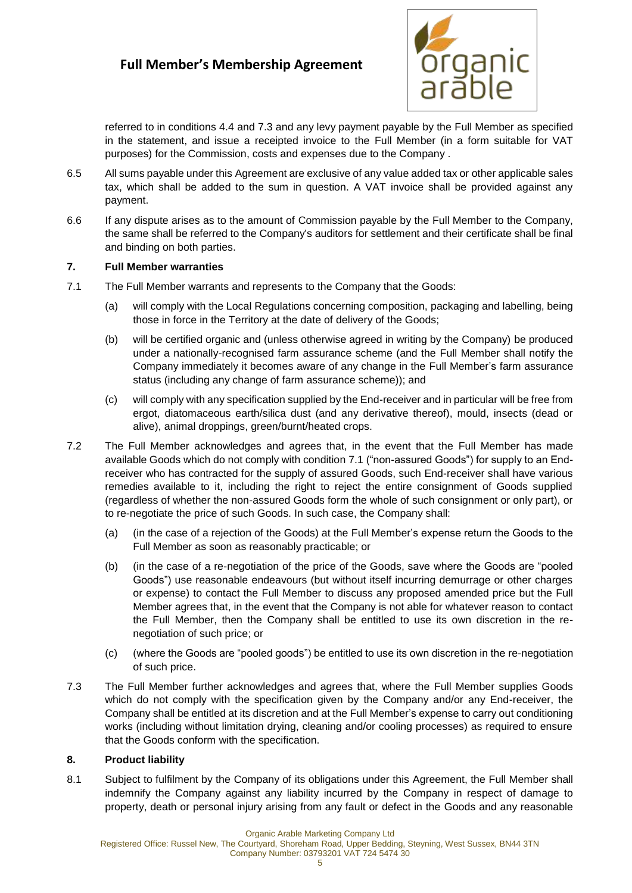

referred to in conditions [4.4](#page-2-2) and [7.3](#page-4-1) and any levy payment payable by the Full Member as specified in the statement, and issue a receipted invoice to the Full Member (in a form suitable for VAT purposes) for the Commission, costs and expenses due to the Company .

- 6.5 All sums payable under this Agreement are exclusive of any value added tax or other applicable sales tax, which shall be added to the sum in question. A VAT invoice shall be provided against any payment.
- 6.6 If any dispute arises as to the amount of Commission payable by the Full Member to the Company, the same shall be referred to the Company's auditors for settlement and their certificate shall be final and binding on both parties.

#### **7. Full Member warranties**

- <span id="page-4-2"></span>7.1 The Full Member warrants and represents to the Company that the Goods:
	- (a) will comply with the Local Regulations concerning composition, packaging and labelling, being those in force in the Territory at the date of delivery of the Goods;
	- (b) will be certified organic and (unless otherwise agreed in writing by the Company) be produced under a nationally-recognised farm assurance scheme (and the Full Member shall notify the Company immediately it becomes aware of any change in the Full Member's farm assurance status (including any change of farm assurance scheme)); and
	- (c) will comply with any specification supplied by the End-receiver and in particular will be free from ergot, diatomaceous earth/silica dust (and any derivative thereof), mould, insects (dead or alive), animal droppings, green/burnt/heated crops.
- 7.2 The Full Member acknowledges and agrees that, in the event that the Full Member has made available Goods which do not comply with condition [7.1](#page-4-2) ("non-assured Goods") for supply to an Endreceiver who has contracted for the supply of assured Goods, such End-receiver shall have various remedies available to it, including the right to reject the entire consignment of Goods supplied (regardless of whether the non-assured Goods form the whole of such consignment or only part), or to re-negotiate the price of such Goods. In such case, the Company shall:
	- (a) (in the case of a rejection of the Goods) at the Full Member's expense return the Goods to the Full Member as soon as reasonably practicable; or
	- (b) (in the case of a re-negotiation of the price of the Goods, save where the Goods are "pooled Goods") use reasonable endeavours (but without itself incurring demurrage or other charges or expense) to contact the Full Member to discuss any proposed amended price but the Full Member agrees that, in the event that the Company is not able for whatever reason to contact the Full Member, then the Company shall be entitled to use its own discretion in the renegotiation of such price; or
	- (c) (where the Goods are "pooled goods") be entitled to use its own discretion in the re-negotiation of such price.
- <span id="page-4-1"></span>7.3 The Full Member further acknowledges and agrees that, where the Full Member supplies Goods which do not comply with the specification given by the Company and/or any End-receiver, the Company shall be entitled at its discretion and at the Full Member's expense to carry out conditioning works (including without limitation drying, cleaning and/or cooling processes) as required to ensure that the Goods conform with the specification.

#### **8. Product liability**

<span id="page-4-0"></span>8.1 Subject to fulfilment by the Company of its obligations under this Agreement, the Full Member shall indemnify the Company against any liability incurred by the Company in respect of damage to property, death or personal injury arising from any fault or defect in the Goods and any reasonable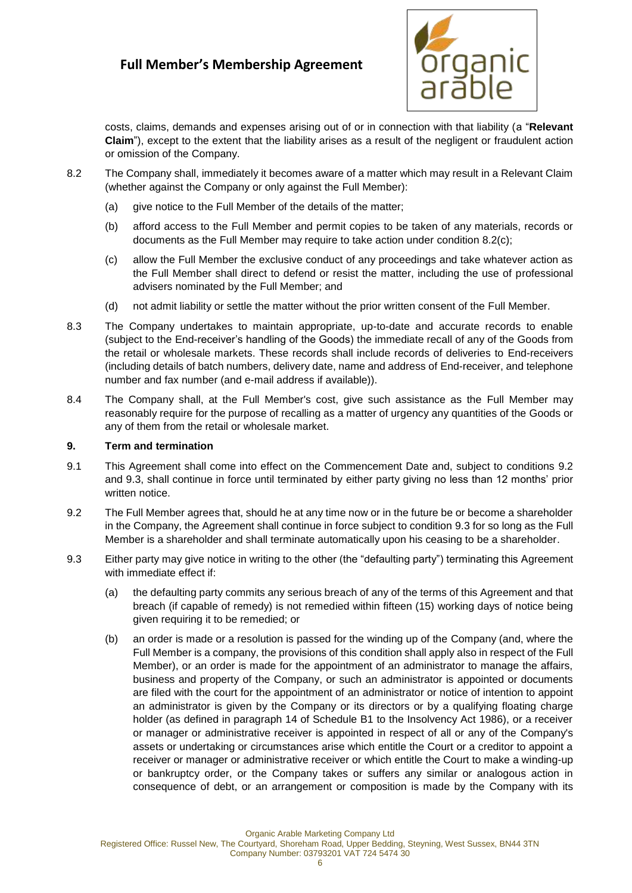

costs, claims, demands and expenses arising out of or in connection with that liability (a "**Relevant Claim**"), except to the extent that the liability arises as a result of the negligent or fraudulent action or omission of the Company.

- 8.2 The Company shall, immediately it becomes aware of a matter which may result in a Relevant Claim (whether against the Company or only against the Full Member):
	- (a) give notice to the Full Member of the details of the matter;
	- (b) afford access to the Full Member and permit copies to be taken of any materials, records or documents as the Full Member may require to take action under condition [8.2\(c\);](#page-5-1)
	- (c) allow the Full Member the exclusive conduct of any proceedings and take whatever action as the Full Member shall direct to defend or resist the matter, including the use of professional advisers nominated by the Full Member; and
	- (d) not admit liability or settle the matter without the prior written consent of the Full Member.
- <span id="page-5-1"></span>8.3 The Company undertakes to maintain appropriate, up-to-date and accurate records to enable (subject to the End-receiver's handling of the Goods) the immediate recall of any of the Goods from the retail or wholesale markets. These records shall include records of deliveries to End-receivers (including details of batch numbers, delivery date, name and address of End-receiver, and telephone number and fax number (and e-mail address if available)).
- 8.4 The Company shall, at the Full Member's cost, give such assistance as the Full Member may reasonably require for the purpose of recalling as a matter of urgency any quantities of the Goods or any of them from the retail or wholesale market.

#### <span id="page-5-0"></span>**9. Term and termination**

- 9.1 This Agreement shall come into effect on the Commencement Date and, subject to conditions [9.2](#page-5-2) and [9.3,](#page-5-3) shall continue in force until terminated by either party giving no less than 12 months' prior written notice.
- <span id="page-5-2"></span>9.2 The Full Member agrees that, should he at any time now or in the future be or become a shareholder in the Company, the Agreement shall continue in force subject to condition [9.3](#page-5-3) for so long as the Full Member is a shareholder and shall terminate automatically upon his ceasing to be a shareholder.
- <span id="page-5-3"></span>9.3 Either party may give notice in writing to the other (the "defaulting party") terminating this Agreement with immediate effect if:
	- (a) the defaulting party commits any serious breach of any of the terms of this Agreement and that breach (if capable of remedy) is not remedied within fifteen (15) working days of notice being given requiring it to be remedied; or
	- (b) an order is made or a resolution is passed for the winding up of the Company (and, where the Full Member is a company, the provisions of this condition shall apply also in respect of the Full Member), or an order is made for the appointment of an administrator to manage the affairs, business and property of the Company, or such an administrator is appointed or documents are filed with the court for the appointment of an administrator or notice of intention to appoint an administrator is given by the Company or its directors or by a qualifying floating charge holder (as defined in paragraph 14 of Schedule B1 to the Insolvency Act 1986), or a receiver or manager or administrative receiver is appointed in respect of all or any of the Company's assets or undertaking or circumstances arise which entitle the Court or a creditor to appoint a receiver or manager or administrative receiver or which entitle the Court to make a winding-up or bankruptcy order, or the Company takes or suffers any similar or analogous action in consequence of debt, or an arrangement or composition is made by the Company with its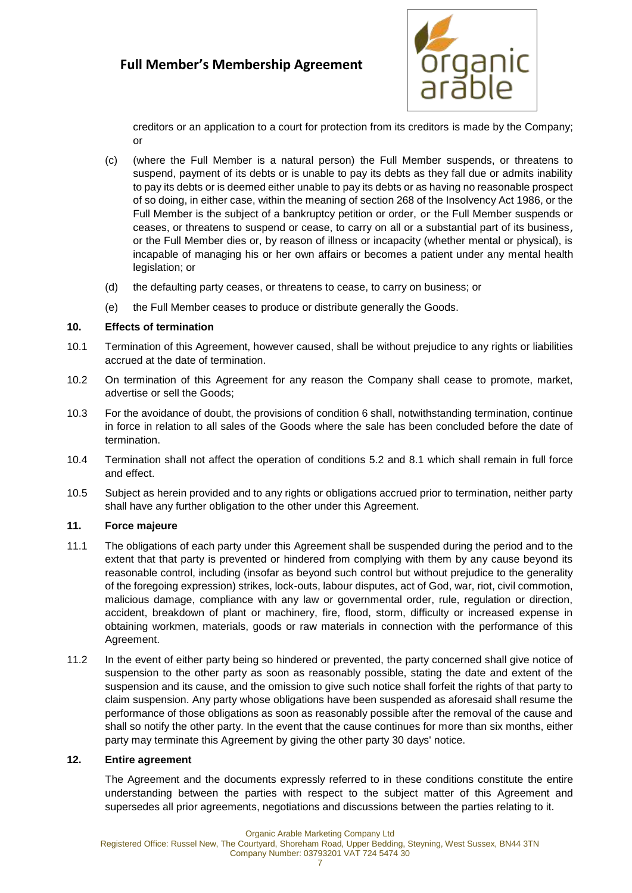

creditors or an application to a court for protection from its creditors is made by the Company; or

- (c) (where the Full Member is a natural person) the Full Member suspends, or threatens to suspend, payment of its debts or is unable to pay its debts as they fall due or admits inability to pay its debts or is deemed either unable to pay its debts or as having no reasonable prospect of so doing, in either case, within the meaning of section 268 of the Insolvency Act 1986, or the Full Member is the subject of a bankruptcy petition or order, or the Full Member suspends or ceases, or threatens to suspend or cease, to carry on all or a substantial part of its business, or the Full Member dies or, by reason of illness or incapacity (whether mental or physical), is incapable of managing his or her own affairs or becomes a patient under any mental health legislation; or
- (d) the defaulting party ceases, or threatens to cease, to carry on business; or
- (e) the Full Member ceases to produce or distribute generally the Goods.

#### **10. Effects of termination**

- 10.1 Termination of this Agreement, however caused, shall be without prejudice to any rights or liabilities accrued at the date of termination.
- 10.2 On termination of this Agreement for any reason the Company shall cease to promote, market, advertise or sell the Goods;
- 10.3 For the avoidance of doubt, the provisions of condition [6](#page-3-0) shall, notwithstanding termination, continue in force in relation to all sales of the Goods where the sale has been concluded before the date of termination.
- 10.4 Termination shall not affect the operation of conditions [5.2](#page-2-0) and [8.1](#page-4-0) which shall remain in full force and effect.
- 10.5 Subject as herein provided and to any rights or obligations accrued prior to termination, neither party shall have any further obligation to the other under this Agreement.

#### **11. Force majeure**

- 11.1 The obligations of each party under this Agreement shall be suspended during the period and to the extent that that party is prevented or hindered from complying with them by any cause beyond its reasonable control, including (insofar as beyond such control but without prejudice to the generality of the foregoing expression) strikes, lock-outs, labour disputes, act of God, war, riot, civil commotion, malicious damage, compliance with any law or governmental order, rule, regulation or direction, accident, breakdown of plant or machinery, fire, flood, storm, difficulty or increased expense in obtaining workmen, materials, goods or raw materials in connection with the performance of this Agreement.
- 11.2 In the event of either party being so hindered or prevented, the party concerned shall give notice of suspension to the other party as soon as reasonably possible, stating the date and extent of the suspension and its cause, and the omission to give such notice shall forfeit the rights of that party to claim suspension. Any party whose obligations have been suspended as aforesaid shall resume the performance of those obligations as soon as reasonably possible after the removal of the cause and shall so notify the other party. In the event that the cause continues for more than six months, either party may terminate this Agreement by giving the other party 30 days' notice.

#### **12. Entire agreement**

The Agreement and the documents expressly referred to in these conditions constitute the entire understanding between the parties with respect to the subject matter of this Agreement and supersedes all prior agreements, negotiations and discussions between the parties relating to it.